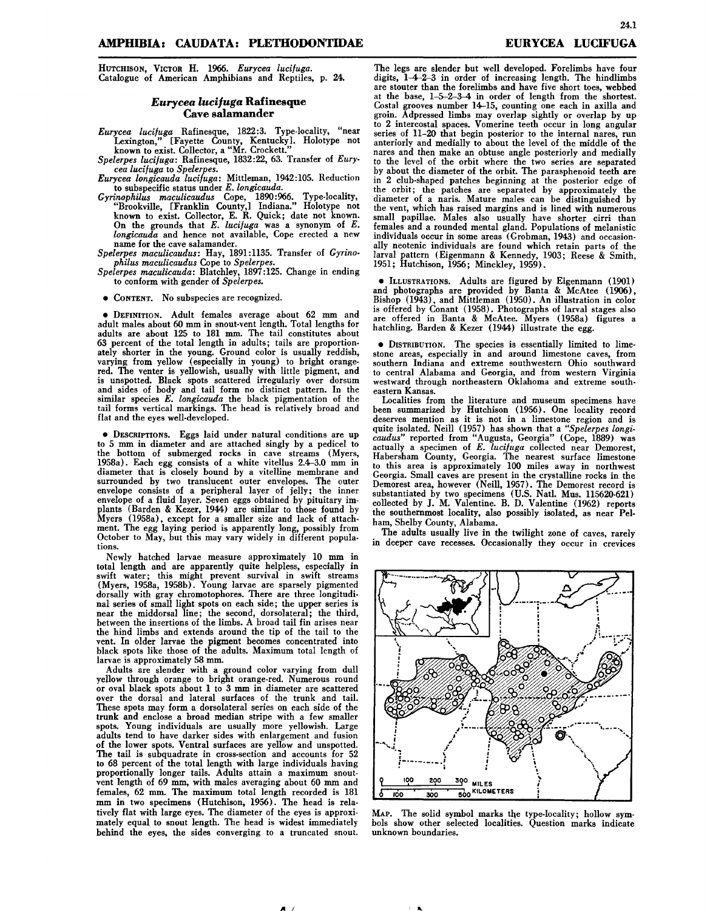HUTCHISON,VICTOR H. 1966. *Eurycea lucifuga.* Catalogue of American Amphibians and Reptiles, p. 24.

## *Eurycea lucijuga* **Rafinesque Cave salamander**

*Eurycea lucifuga* Rafinesque, 1822:3. Type-locality, "near Lexington," [Fayette County, Kentucky]. Holotype not known to exist. Collector, a "Mr. Crockett."

*Spelerpes lucifuga:* Rafinesque, 1832:22, 63. Transfer of *Eurycea lucifuga* to *Spelerpes.*

*Eurycea longicauda lucifuga:* Mittleman, 1942:105. Reduction to subspecific status under *E. longicauda.*

*Gyrinophilus maculicaudus* Cope, 1890:966. Type-locality, "Brookville, [Franklin County,] Indiana." Holotype not known to exist. Collector, E. R. Quick; date not known. On the grounds that *E. lucifuga* was a synonym of *E. longicauda* and hence not available, Cope erected <sup>a</sup> new name for the cave salamander.

*Spelerpes maculicaudus:* Hay, 1891:1135. Transfer of *Gyrinophilus maculicaudus* Cope to *Spelerpes.*

*Spelerpes maculicauda:* Blatchley, 1897:125. Change in ending to conform with gender of *Spelerpes.*

• CONTENT. No subspecies are recognized.

• DEFINITION. Adult females average about 62 mm and adult males about 60 mm in snout-vent length. Total lengths for adults are about 125 to 181 mm. The tail constitutes about 63 percent of the total length in adults; tails are proportionately shorter in the young. Ground color is usually reddish, varying from yellow (especially in young) to bright orangered. The venter is yellowish, usually with little pigment, and is unspotted. Black spots scattered irregularly over dorsum and sides of body and tail form no distinct pattern. In the similar species *E. longicauda* the black pigmentation of the tail forms vertical markings. The head is relatively broad and flat and the eyes well-developed.

• DESCRIPTIONS.Eggs laid under natural conditions are up to 5 mm in diameter and are attached singly by a pedicel to the bottom of submerged rocks in cave streams (Myers, 1958a). Each egg consists of a white vitellus 2.4-3.0 mm in diameter that is closely bound by a vitelline membrane and surrounded by two translucent outer envelopes. The outer envelope consists of a peripheral layer of jelly; the inner envelope of a fluid layer. Seven eggs obtained by pituitary im-plants (Barden & Kezer, 1944) are similar to those found by Myers (1958a), except for a smaller size and lack of attachment. The egg laying period is apparently long, possibly from October to May, but this may vary widely in different popula<br>tions.

Newly hatched larvae measure approximately 10 mm in total length and are apparently quite helpless, especially in swift water; this might prevent survival in swift streams (Myers, 1958a, 1958b) . Young larvae are sparsely pigmented dorsally with gray chromotophores. There are three longitudinal series of small light spots on each side; the upper series is near the middorsal line; the second, dorsolateral; the third, between the insertions of the limbs. A broad tail fin arises near the hind limbs and extends around the tip of the tail to the vent. In older larvae the pigment becomes concentrated into black spots like those of the adults. Maximum total length of larvae is approximately 58 mm.

Adults are slender with a ground color varying from dull yellow through orange to bright orange-red. Numerous round or oval black spots about 1 to 3 mm in diameter are scattered over the dorsal and lateral surfaces of the trunk and tail. These spots may form a dorsolateral series on each side of the trunk and enclose a broad median stripe with a few smaller spots. Young individuals are usually more yellowish. Large adults tend to have darker sides with enlargement and fusion of the lower spots. Ventral surfaces are yellow and unspotted. The tail is subquadrate in cross-section and accounts for 52 to 68 percent of the total length with large individuals having proportionally longer tails. Adults attain a maximum snoutvent length of 69 mm, with males averaging about 60 mm and females, 62 mm. The maximum total length recorded is 181 mm in two specimens (Hutchison, 1956). The head is relatively flat with large eyes. The diameter of the eyes is approximately equal to snout length. The head is widest immediately behind the eyes, the sides converging to a truncated snout.

*A I*

The legs are slender but well developed. Forelimbs have four digits, 1-4-2-3 in order of increasing length. The hindlimbs are stouter than the forelimbs and have five short toes, webbed at the base, 1-5-2-3-4 in order of length from the shortest. Costal grooves number 14-15, counting one each in axilla and groin. Adpressed limbs may overlap sightly or overlap by up to 2 intercostal spaces. Vomerine teeth occur in long angular series of 11-20 that begin posterior to the internal nares, run anteriorly and medially to about the level of the middle of the nares and then make an obtuse angle posteriorly and medially to the level of the orbit where the two series are separated by about the diameter of the orbit. The parasphenoid teeth are in 2 club-shaped patches beginning at the posterior edge of the orbit; the patches are separated by approximately the diameter of a naris. Mature males can be distinguished by the vent, which has raised margins and is lined with numerous small papillae. Males also usually have shorter cirri than females and a rounded mental gland. Populations of melanistic individuals occur in some areas (Grobman, 1943) and occasionally neotenic individuals are found which retain parts of the larval pattern (Eigenmann & Kennedy, 1903; Reese & Smith, 1951; Hutchison, 1956; Minckley, 1959).

 $\bullet$  ILLUSTRATIONS. Adults are figured by Eigenmann (1901) and photographs are provided by Banta & McAtee (1906), and photographs are provided by Baltia & McAtee (1900),<br>Bishop (1943), and Mittleman (1950). An illustration in color<br>is offered by Conant (1958). Photographs of larval stages also is offered by Conant (1958). Photographs of larval stages also are offered in Banta & McAtee. Myers (1958a) figures <sup>a</sup> hatchling. Barden & Kezer (1944) illustrate the egg.

 $\bullet$  DISTRIBUTION. The species is essentially limited to limestone areas, especially in and around limestone caves, from southern Indiana and extreme southwestern Ohio southward to central Alabama and Georgia, and from western Virginia westward through northeastern Oklahoma and extreme southeastern Kansas.

Localities from the literature and museum specimens have been summarized by Hutchison (1956). One locality record deserves mention as it is not in a limestone region and is quite isolated. Neill (1957) has shown that a *"Spelerpes longicaudus"* reported from "Augusta, Georgia" (Cope, 1889) was actually <sup>a</sup> specimen of *E. lucifuga* collected near Demorest, Habersham County, Georgia. The nearest surface limestone to this area is approximately 100 miles away in northwes Georgia. Small caves are present in the crystalline rocks in the Demorest area, however (Neill, 1957). The Demorest record is substantiated by two specimens (U.S. Natl. Mus. 115620-621) collected by J. M. Valentine. B. D. Valentine (1962) report the southernmost locality, also possibly isolated, as near Pel· ham, Shelby County, Alabama.

The adults usually live in the twilight zone of caves, rarely in deeper cave recesses. Occasionally they occur in crevices



MAP. The solid symbol marks the type-locality; hollow symbols show other selected localities. Question marks indicate unknown boundaries.